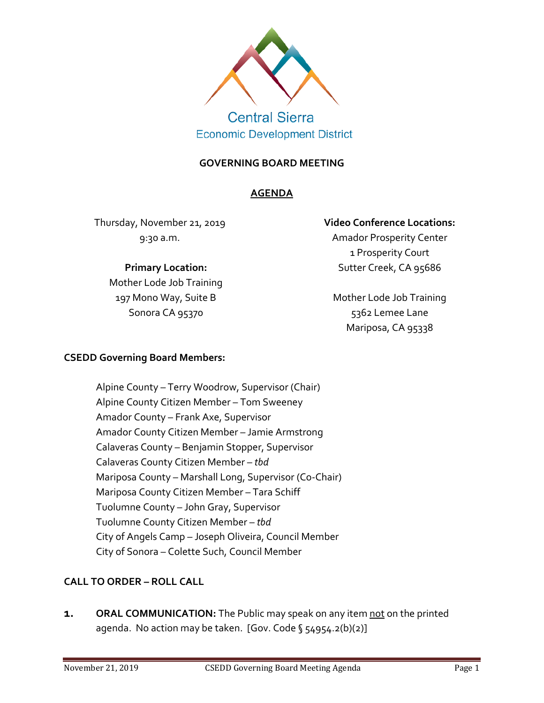

# **Central Sierra Economic Development District**

#### **GOVERNING BOARD MEETING**

#### **AGENDA**

Thursday, November 21, 2019 9:30 a.m.

## **Primary Location:**

Mother Lode Job Training 197 Mono Way, Suite B Sonora CA 95370

# **Video Conference Locations:**

Amador Prosperity Center 1 Prosperity Court Sutter Creek, CA 95686

Mother Lode Job Training 5362 Lemee Lane Mariposa, CA 95338

#### **CSEDD Governing Board Members:**

Alpine County – Terry Woodrow, Supervisor (Chair) Alpine County Citizen Member – Tom Sweeney Amador County – Frank Axe, Supervisor Amador County Citizen Member – Jamie Armstrong Calaveras County – Benjamin Stopper, Supervisor Calaveras County Citizen Member – *tbd* Mariposa County – Marshall Long, Supervisor (Co-Chair) Mariposa County Citizen Member – Tara Schiff Tuolumne County – John Gray, Supervisor Tuolumne County Citizen Member – *tbd* City of Angels Camp – Joseph Oliveira, Council Member City of Sonora – Colette Such, Council Member

## **CALL TO ORDER – ROLL CALL**

**1. ORAL COMMUNICATION:** The Public may speak on any item not on the printed agenda. No action may be taken. [Gov. Code § 54954.2(b)(2)]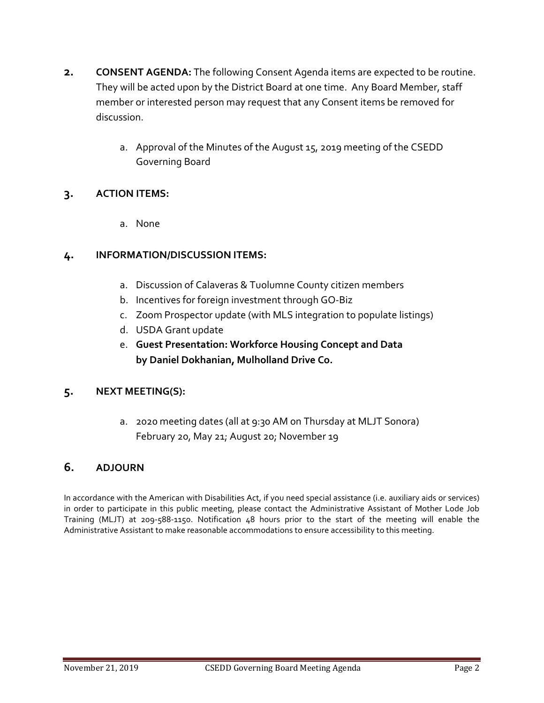- **2. CONSENT AGENDA:** The following Consent Agenda items are expected to be routine. They will be acted upon by the District Board at one time. Any Board Member, staff member or interested person may request that any Consent items be removed for discussion.
	- a. Approval of the Minutes of the August 15, 2019 meeting of the CSEDD Governing Board

#### **3. ACTION ITEMS:**

a. None

#### **4. INFORMATION/DISCUSSION ITEMS:**

- a. Discussion of Calaveras & Tuolumne County citizen members
- b. Incentives for foreign investment through GO-Biz
- c. Zoom Prospector update (with MLS integration to populate listings)
- d. USDA Grant update
- e. **Guest Presentation: Workforce Housing Concept and Data by Daniel Dokhanian, Mulholland Drive Co.**

#### **5. NEXT MEETING(S):**

a. 2020 meeting dates (all at 9:30 AM on Thursday at MLJT Sonora) February 20, May 21; August 20; November 19

## **6. ADJOURN**

In accordance with the American with Disabilities Act, if you need special assistance (i.e. auxiliary aids or services) in order to participate in this public meeting, please contact the Administrative Assistant of Mother Lode Job Training (MLJT) at 209-588-1150. Notification 48 hours prior to the start of the meeting will enable the Administrative Assistant to make reasonable accommodations to ensure accessibility to this meeting.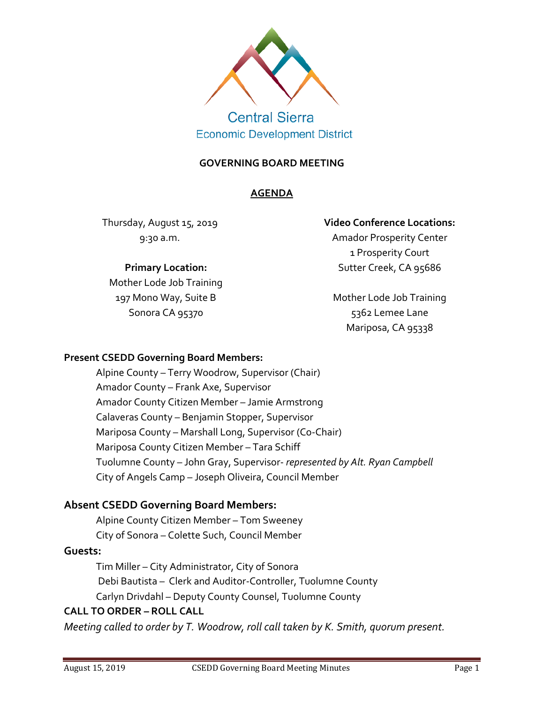

**Central Sierra Economic Development District** 

#### **GOVERNING BOARD MEETING**

#### **AGENDA**

Thursday, August 15, 2019 9:30 a.m.

## **Primary Location:**

Mother Lode Job Training 197 Mono Way, Suite B Sonora CA 95370

#### **Video Conference Locations:**

Amador Prosperity Center 1 Prosperity Court Sutter Creek, CA 95686

Mother Lode Job Training 5362 Lemee Lane Mariposa, CA 95338

#### **Present CSEDD Governing Board Members:**

Alpine County – Terry Woodrow, Supervisor (Chair) Amador County – Frank Axe, Supervisor Amador County Citizen Member – Jamie Armstrong Calaveras County – Benjamin Stopper, Supervisor Mariposa County – Marshall Long, Supervisor (Co-Chair) Mariposa County Citizen Member – Tara Schiff Tuolumne County – John Gray, Supervisor- *represented by Alt. Ryan Campbell* City of Angels Camp – Joseph Oliveira, Council Member

## **Absent CSEDD Governing Board Members:**

Alpine County Citizen Member – Tom Sweeney City of Sonora – Colette Such, Council Member

## **Guests:**

Tim Miller – City Administrator, City of Sonora Debi Bautista – Clerk and Auditor-Controller, Tuolumne County Carlyn Drivdahl – Deputy County Counsel, Tuolumne County

#### **CALL TO ORDER – ROLL CALL**

*Meeting called to order by T. Woodrow, roll call taken by K. Smith, quorum present.*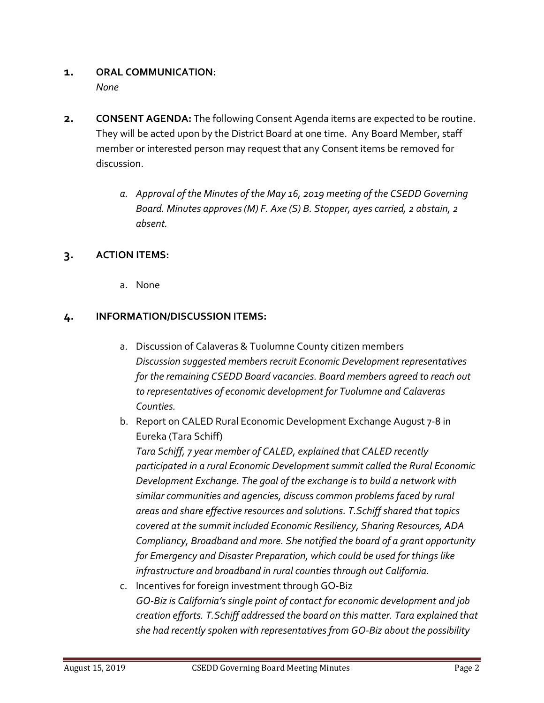#### **1. ORAL COMMUNICATION:**  *None*

- **2. CONSENT AGENDA:** The following Consent Agenda items are expected to be routine. They will be acted upon by the District Board at one time. Any Board Member, staff member or interested person may request that any Consent items be removed for discussion.
	- *a. Approval of the Minutes of the May 16, 2019 meeting of the CSEDD Governing Board. Minutes approves (M) F. Axe (S) B. Stopper, ayes carried, 2 abstain, 2 absent.*

## **3. ACTION ITEMS:**

a. None

## **4. INFORMATION/DISCUSSION ITEMS:**

- a. Discussion of Calaveras & Tuolumne County citizen members *Discussion suggested members recruit Economic Development representatives for the remaining CSEDD Board vacancies. Board members agreed to reach out to representatives of economic development for Tuolumne and Calaveras Counties.*
- b. Report on CALED Rural Economic Development Exchange August 7-8 in Eureka (Tara Schiff)

*Tara Schiff, 7 year member of CALED, explained that CALED recently participated in a rural Economic Development summit called the Rural Economic Development Exchange. The goal of the exchange is to build a network with similar communities and agencies, discuss common problems faced by rural areas and share effective resources and solutions. T.Schiffshared that topics covered at the summit included Economic Resiliency, Sharing Resources, ADA Compliancy, Broadband and more. She notified the board of a grant opportunity for Emergency and Disaster Preparation, which could be used for things like infrastructure and broadband in rural counties through out California.*

c. Incentives for foreign investment through GO-Biz *GO-Biz is California's single point of contact for economic development and job creation efforts. T.Schiff addressed the board on this matter. Tara explained that she had recently spoken with representatives from GO-Biz about the possibility*